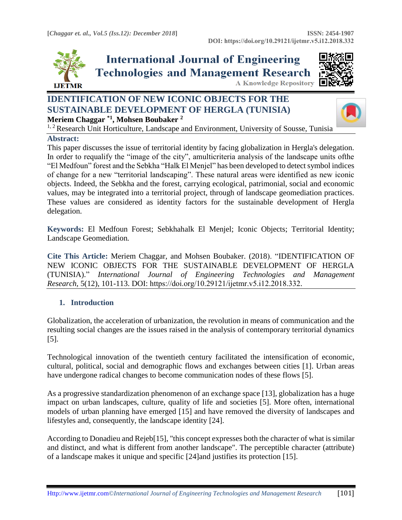

**International Journal of Engineering Technologies and Management Research** 



#### **A Knowledge Repository**

# **IDENTIFICATION OF NEW ICONIC OBJECTS FOR THE SUSTAINABLE DEVELOPMENT OF HERGLA (TUNISIA) Meriem Chaggar \*1, Mohsen Boubaker <sup>2</sup>**



<sup>1, 2</sup> Research Unit Horticulture, Landscape and Environment, University of Sousse, Tunisia

### **Abstract:**

This paper discusses the issue of territorial identity by facing globalization in Hergla's delegation. In order to requalify the "image of the city", amulticriteria analysis of the landscape units ofthe "El Medfoun" forest and the Sebkha "Halk El Menjel" has been developed to detect symbol indices of change for a new "territorial landscaping". These natural areas were identified as new iconic objects. Indeed, the Sebkha and the forest, carrying ecological, patrimonial, social and economic values, may be integrated into a territorial project, through of landscape geomediation practices. These values are considered as identity factors for the sustainable development of Hergla delegation.

**Keywords:** El Medfoun Forest; Sebkhahalk El Menjel; Iconic Objects; Territorial Identity; Landscape Geomediation*.* 

**Cite This Article:** Meriem Chaggar, and Mohsen Boubaker. (2018). "IDENTIFICATION OF NEW ICONIC OBJECTS FOR THE SUSTAINABLE DEVELOPMENT OF HERGLA (TUNISIA)." *International Journal of Engineering Technologies and Management Research,* 5(12), 101-113. DOI: https://doi.org/10.29121/ijetmr.v5.i12.2018.332.

## **1. Introduction**

Globalization, the acceleration of urbanization, the revolution in means of communication and the resulting social changes are the issues raised in the analysis of contemporary territorial dynamics [5].

Technological innovation of the twentieth century facilitated the intensification of economic, cultural, political, social and demographic flows and exchanges between cities [1]. Urban areas have undergone radical changes to become communication nodes of these flows [5].

As a progressive standardization phenomenon of an exchange space [13], globalization has a huge impact on urban landscapes, culture, quality of life and societies [5]. More often, international models of urban planning have emerged [15] and have removed the diversity of landscapes and lifestyles and, consequently, the landscape identity [24].

According to Donadieu and Rejeb[15], "this concept expresses both the character of what is similar and distinct, and what is different from another landscape". The perceptible character (attribute) of a landscape makes it unique and specific [24]and justifies its protection [15].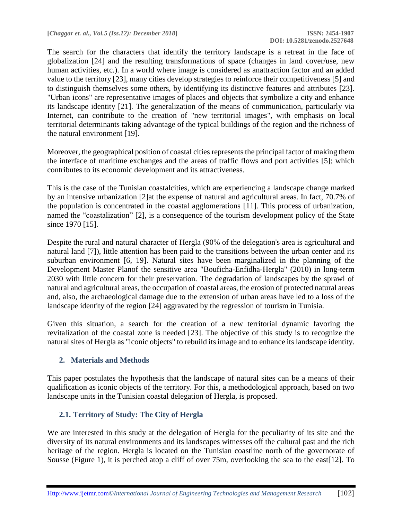The search for the characters that identify the territory landscape is a retreat in the face of globalization [24] and the resulting transformations of space (changes in land cover/use, new human activities, etc.). In a world where image is considered as anattraction factor and an added value to the territory [23], many cities develop strategies to reinforce their competitiveness [5] and to distinguish themselves some others, by identifying its distinctive features and attributes [23]. "Urban icons" are representative images of places and objects that symbolize a city and enhance its landscape identity [21]. The generalization of the means of communication, particularly via Internet, can contribute to the creation of "new territorial images", with emphasis on local territorial determinants taking advantage of the typical buildings of the region and the richness of the natural environment [19].

Moreover, the geographical position of coastal cities represents the principal factor of making them the interface of maritime exchanges and the areas of traffic flows and port activities [5]; which contributes to its economic development and its attractiveness.

This is the case of the Tunisian coastalcities, which are experiencing a landscape change marked by an intensive urbanization [2]at the expense of natural and agricultural areas. In fact, 70.7% of the population is concentrated in the coastal agglomerations [11]. This process of urbanization, named the "coastalization" [2], is a consequence of the tourism development policy of the State since 1970 [15].

Despite the rural and natural character of Hergla (90% of the delegation's area is agricultural and natural land [7]), little attention has been paid to the transitions between the urban center and its suburban environment [6, 19]. Natural sites have been marginalized in the planning of the Development Master Planof the sensitive area "Bouficha-Enfidha-Hergla" (2010) in long-term 2030 with little concern for their preservation. The degradation of landscapes by the sprawl of natural and agricultural areas, the occupation of coastal areas, the erosion of protected natural areas and, also, the archaeological damage due to the extension of urban areas have led to a loss of the landscape identity of the region [24] aggravated by the regression of tourism in Tunisia.

Given this situation, a search for the creation of a new territorial dynamic favoring the revitalization of the coastal zone is needed [23]. The objective of this study is to recognize the natural sites of Hergla as "iconic objects" to rebuild its image and to enhance its landscape identity.

## **2. Materials and Methods**

This paper postulates the hypothesis that the landscape of natural sites can be a means of their qualification as iconic objects of the territory. For this, a methodological approach, based on two landscape units in the Tunisian coastal delegation of Hergla, is proposed.

## **2.1. Territory of Study: The City of Hergla**

We are interested in this study at the delegation of Hergla for the peculiarity of its site and the diversity of its natural environments and its landscapes witnesses off the cultural past and the rich heritage of the region. Hergla is located on the Tunisian coastline north of the governorate of Sousse (Figure 1), it is perched atop a cliff of over 75m, overlooking the sea to the east[12]. To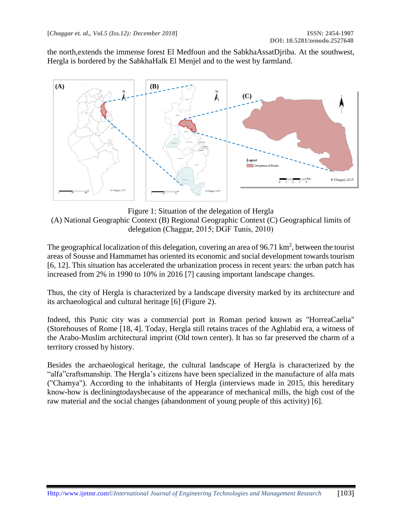the north,extends the immense forest El Medfoun and the SabkhaAssatDjriba. At the southwest, Hergla is bordered by the SabkhaHalk El Menjel and to the west by farmland.



Figure 1: Situation of the delegation of Hergla (A) National Geographic Context (B) Regional Geographic Context (C) Geographical limits of delegation (Chaggar, 2015; DGF Tunis, 2010)

The geographical localization of this delegation, covering an area of 96.71  $\text{km}^2$ , between the tourist areas of Sousse and Hammamet has oriented its economic and social development towards tourism [6, 12]. This situation has accelerated the urbanization process in recent years: the urban patch has increased from 2% in 1990 to 10% in 2016 [7] causing important landscape changes.

Thus, the city of Hergla is characterized by a landscape diversity marked by its architecture and its archaeological and cultural heritage [6] (Figure 2).

Indeed, this Punic city was a commercial port in Roman period known as "HorreaCaelia" (Storehouses of Rome [18, 4]. Today, Hergla still retains traces of the Aghlabid era, a witness of the Arabo-Muslim architectural imprint (Old town center). It has so far preserved the charm of a territory crossed by history.

Besides the archaeological heritage, the cultural landscape of Hergla is characterized by the "alfa"craftsmanship. The Hergla's citizens have been specialized in the manufacture of alfa mats ("Chamya"). According to the inhabitants of Hergla (interviews made in 2015, this hereditary know-how is decliningtodaysbecause of the appearance of mechanical mills, the high cost of the raw material and the social changes (abandonment of young people of this activity) [6].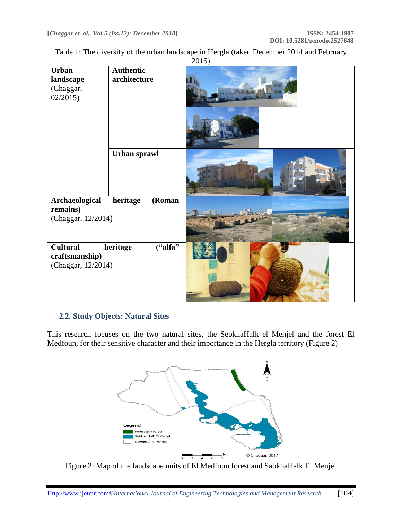| Table 1: The diversity of the urban landscape in Hergla (taken December 2014 and February |
|-------------------------------------------------------------------------------------------|
| $\bigcap$ 15)                                                                             |

|                                                         |                                  | 201J |
|---------------------------------------------------------|----------------------------------|------|
| <b>Urban</b><br>landscape<br>(Chaggar,<br>02/2015       | <b>Authentic</b><br>architecture |      |
|                                                         | Urban sprawl                     |      |
| Archaeological<br>remains)<br>(Chaggar, 12/2014)        | heritage<br>(Roman               |      |
| <b>Cultural</b><br>craftsmanship)<br>(Chaggar, 12/2014) | ("alfa"<br>heritage              |      |

### **2.2. Study Objects: Natural Sites**

This research focuses on the two natural sites, the SebkhaHalk el Menjel and the forest El Medfoun, for their sensitive character and their importance in the Hergla territory (Figure 2)



Figure 2: Map of the landscape units of El Medfoun forest and SabkhaHalk El Menjel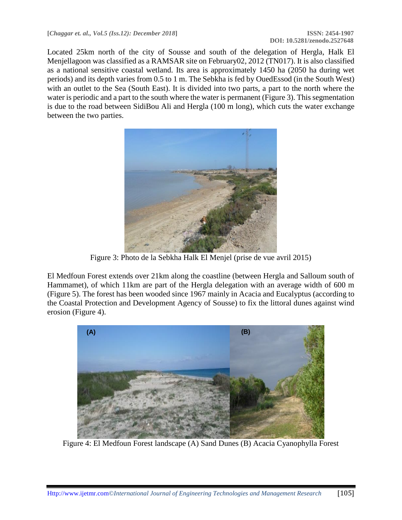Located 25km north of the city of Sousse and south of the delegation of Hergla, Halk El Menjellagoon was classified as a RAMSAR site on February02, 2012 (TN017). It is also classified as a national sensitive coastal wetland. Its area is approximately 1450 ha (2050 ha during wet periods) and its depth varies from 0.5 to 1 m. The Sebkha is fed by OuedEssod (in the South West) with an outlet to the Sea (South East). It is divided into two parts, a part to the north where the water is periodic and a part to the south where the water is permanent (Figure 3). This segmentation is due to the road between SidiBou Ali and Hergla (100 m long), which cuts the water exchange between the two parties.



Figure 3: Photo de la Sebkha Halk El Menjel (prise de vue avril 2015)

El Medfoun Forest extends over 21km along the coastline (between Hergla and Salloum south of Hammamet), of which 11km are part of the Hergla delegation with an average width of 600 m (Figure 5). The forest has been wooded since 1967 mainly in Acacia and Eucalyptus (according to the Coastal Protection and Development Agency of Sousse) to fix the littoral dunes against wind erosion (Figure 4).



Figure 4: El Medfoun Forest landscape (A) Sand Dunes (B) Acacia Cyanophylla Forest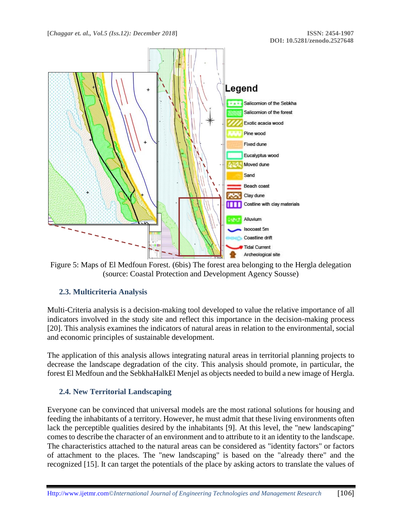

Figure 5: Maps of El Medfoun Forest. (6bis) The forest area belonging to the Hergla delegation (source: Coastal Protection and Development Agency Sousse)

### **2.3. Multicriteria Analysis**

Multi-Criteria analysis is a decision-making tool developed to value the relative importance of all indicators involved in the study site and reflect this importance in the decision-making process [20]. This analysis examines the indicators of natural areas in relation to the environmental, social and economic principles of sustainable development.

The application of this analysis allows integrating natural areas in territorial planning projects to decrease the landscape degradation of the city. This analysis should promote, in particular, the forest El Medfoun and the SebkhaHalkEl Menjel as objects needed to build a new image of Hergla.

### **2.4. New Territorial Landscaping**

Everyone can be convinced that universal models are the most rational solutions for housing and feeding the inhabitants of a territory. However, he must admit that these living environments often lack the perceptible qualities desired by the inhabitants [9]. At this level, the "new landscaping" comes to describe the character of an environment and to attribute to it an identity to the landscape. The characteristics attached to the natural areas can be considered as "identity factors" or factors of attachment to the places. The "new landscaping" is based on the "already there" and the recognized [15]. It can target the potentials of the place by asking actors to translate the values of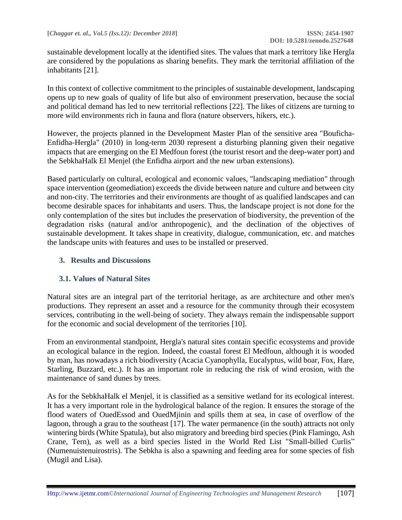sustainable development locally at the identified sites. The values that mark a territory like Hergla are considered by the populations as sharing benefits. They mark the territorial affiliation of the inhabitants [21].

In this context of collective commitment to the principles of sustainable development, landscaping opens up to new goals of quality of life but also of environment preservation, because the social and political demand has led to new territorial reflections [22]. The likes of citizens are turning to more wild environments rich in fauna and flora (nature observers, hikers, etc.).

However, the projects planned in the Development Master Plan of the sensitive area "Bouficha-Enfidha-Hergla" (2010) in long-term 2030 represent a disturbing planning given their negative impacts that are emerging on the El Medfoun forest (the tourist resort and the deep-water port) and the SebkhaHalk El Menjel (the Enfidha airport and the new urban extensions).

Based particularly on cultural, ecological and economic values, "landscaping mediation" through space intervention (geomediation) exceeds the divide between nature and culture and between city and non-city. The territories and their environments are thought of as qualified landscapes and can become desirable spaces for inhabitants and users. Thus, the landscape project is not done for the only contemplation of the sites but includes the preservation of biodiversity, the prevention of the degradation risks (natural and/or anthropogenic), and the declination of the objectives of sustainable development. It takes shape in creativity, dialogue, communication, etc. and matches the landscape units with features and uses to be installed or preserved.

### **3. Results and Discussions**

### **3.1. Values of Natural Sites**

Natural sites are an integral part of the territorial heritage, as are architecture and other men's productions. They represent an asset and a resource for the community through their ecosystem services, contributing in the well-being of society. They always remain the indispensable support for the economic and social development of the territories [10].

From an environmental standpoint, Hergla's natural sites contain specific ecosystems and provide an ecological balance in the region. Indeed, the coastal forest El Medfoun, although it is wooded by man, has nowadays a rich biodiversity (Acacia Cyanophylla, Eucalyptus, wild boar, Fox, Hare, Starling, Buzzard, etc.). It has an important role in reducing the risk of wind erosion, with the maintenance of sand dunes by trees.

As for the SebkhaHalk el Menjel, it is classified as a sensitive wetland for its ecological interest. It has a very important role in the hydrological balance of the region. It ensures the storage of the flood waters of OuedEssod and OuedMjinin and spills them at sea, in case of overflow of the lagoon, through a grau to the southeast  $\frac{17}{7}$ . The water permanence (in the south) attracts not only wintering birds (White Spatula), but also migratory and breeding bird species (Pink Flamingo, Ash Crane, Tern), as well as a bird species listed in the World Red List "Small-billed Curlis" (Numenuistenuirostris). The Sebkha is also a spawning and feeding area for some species of fish (Mugil and Lisa).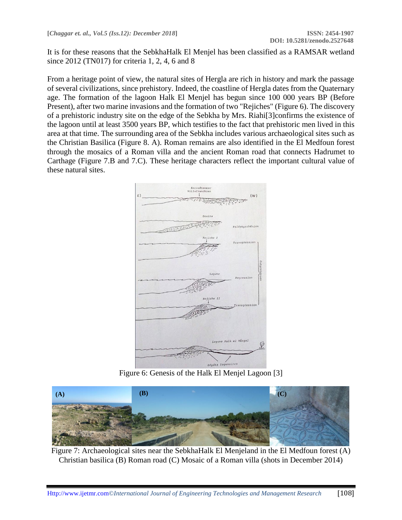It is for these reasons that the SebkhaHalk El Menjel has been classified as a RAMSAR wetland since 2012 (TN017) for criteria 1, 2, 4, 6 and 8

From a heritage point of view, the natural sites of Hergla are rich in history and mark the passage of several civilizations, since prehistory. Indeed, the coastline of Hergla dates from the Quaternary age. The formation of the lagoon Halk El Menjel has begun since 100 000 years BP (Before Present), after two marine invasions and the formation of two "Rejiches" (Figure 6). The discovery of a prehistoric industry site on the edge of the Sebkha by Mrs. Riahi[3]confirms the existence of the lagoon until at least 3500 years BP, which testifies to the fact that prehistoric men lived in this area at that time. The surrounding area of the Sebkha includes various archaeological sites such as the Christian Basilica (Figure 8. A). Roman remains are also identified in the El Medfoun forest through the mosaics of a Roman villa and the ancient Roman road that connects Hadrumet to Carthage (Figure 7.B and 7.C). These heritage characters reflect the important cultural value of these natural sites.



Figure 6: Genesis of the Halk El Menjel Lagoon [3]



Figure 7: Archaeological sites near the SebkhaHalk El Menjeland in the El Medfoun forest (A) Christian basilica (B) Roman road (C) Mosaic of a Roman villa (shots in December 2014)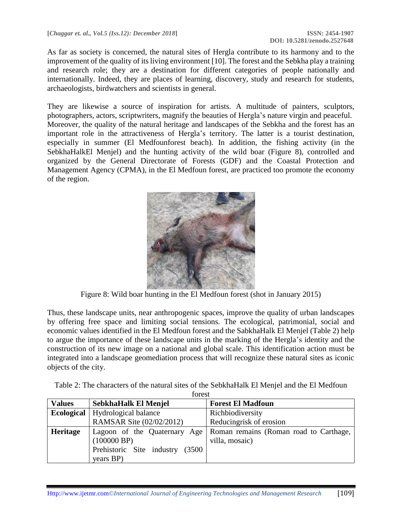As far as society is concerned, the natural sites of Hergla contribute to its harmony and to the improvement of the quality of its living environment [10]. The forest and the Sebkha play a training and research role; they are a destination for different categories of people nationally and internationally. Indeed, they are places of learning, discovery, study and research for students, archaeologists, birdwatchers and scientists in general.

They are likewise a source of inspiration for artists. A multitude of painters, sculptors, photographers, actors, scriptwriters, magnify the beauties of Hergla's nature virgin and peaceful. Moreover, the quality of the natural heritage and landscapes of the Sebkha and the forest has an important role in the attractiveness of Hergla's territory. The latter is a tourist destination, especially in summer (El Medfounforest beach). In addition, the fishing activity (in the SebkhaHalkEl Menjel) and the hunting activity of the wild boar (Figure 8), controlled and organized by the General Directorate of Forests (GDF) and the Coastal Protection and Management Agency (CPMA), in the El Medfoun forest, are practiced too promote the economy of the region.



Figure 8: Wild boar hunting in the El Medfoun forest (shot in January 2015)

Thus, these landscape units, near anthropogenic spaces, improve the quality of urban landscapes by offering free space and limiting social tensions. The ecological, patrimonial, social and economic values identified in the El Medfoun forest and the SabkhaHalk El Menjel (Table 2) help to argue the importance of these landscape units in the marking of the Hergla's identity and the construction of its new image on a national and global scale. This identification action must be integrated into a landscape geomediation process that will recognize these natural sites as iconic objects of the city.

Table 2: The characters of the natural sites of the SebkhaHalk El Menjel and the El Medfoun forest

| 10100C          |                                          |                                        |  |  |  |
|-----------------|------------------------------------------|----------------------------------------|--|--|--|
| <b>Values</b>   | SebkhaHalk El Menjel                     | <b>Forest El Madfoun</b>               |  |  |  |
|                 | <b>Ecological</b>   Hydrological balance | Richbiodiversity                       |  |  |  |
|                 | RAMSAR Site (02/02/2012)                 | Reducingrisk of erosion                |  |  |  |
| <b>Heritage</b> | Lagoon of the Quaternary Age             | Roman remains (Roman road to Carthage, |  |  |  |
|                 | (100000 BP)                              | villa, mosaic)                         |  |  |  |
|                 | Prehistoric Site industry<br>(3500)      |                                        |  |  |  |
|                 | years BP)                                |                                        |  |  |  |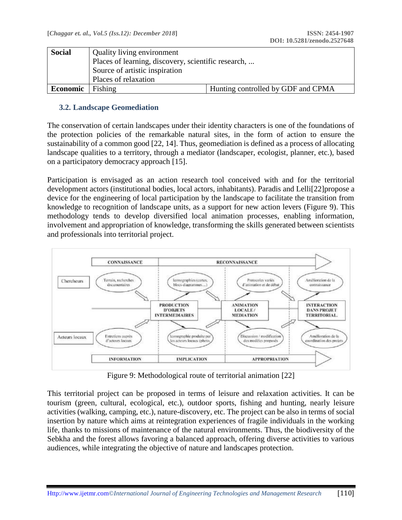| <b>Social</b> | Quality living environment<br>Places of learning, discovery, scientific research, |                                    |  |  |
|---------------|-----------------------------------------------------------------------------------|------------------------------------|--|--|
|               | Source of artistic inspiration                                                    |                                    |  |  |
|               | Places of relaxation                                                              |                                    |  |  |
| Economic      | Fishing                                                                           | Hunting controlled by GDF and CPMA |  |  |

### **3.2. Landscape Geomediation**

The conservation of certain landscapes under their identity characters is one of the foundations of the protection policies of the remarkable natural sites, in the form of action to ensure the sustainability of a common good [22, 14]. Thus, geomediation is defined as a process of allocating landscape qualities to a territory, through a mediator (landscaper, ecologist, planner, etc.), based on a participatory democracy approach [15].

Participation is envisaged as an action research tool conceived with and for the territorial development actors (institutional bodies, local actors, inhabitants). Paradis and Lelli[22]propose a device for the engineering of local participation by the landscape to facilitate the transition from knowledge to recognition of landscape units, as a support for new action levers (Figure 9). This methodology tends to develop diversified local animation processes, enabling information, involvement and appropriation of knowledge, transforming the skills generated between scientists and professionals into territorial project.



Figure 9: Methodological route of territorial animation [22]

This territorial project can be proposed in terms of leisure and relaxation activities. It can be tourism (green, cultural, ecological, etc.), outdoor sports, fishing and hunting, nearly leisure activities (walking, camping, etc.), nature-discovery, etc. The project can be also in terms of social insertion by nature which aims at reintegration experiences of fragile individuals in the working life, thanks to missions of maintenance of the natural environments. Thus, the biodiversity of the Sebkha and the forest allows favoring a balanced approach, offering diverse activities to various audiences, while integrating the objective of nature and landscapes protection.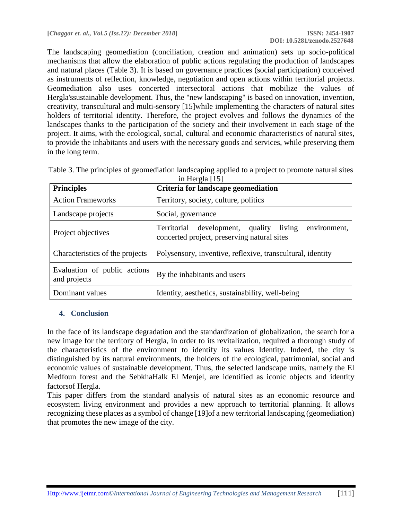The landscaping geomediation (conciliation, creation and animation) sets up socio-political mechanisms that allow the elaboration of public actions regulating the production of landscapes and natural places (Table 3). It is based on governance practices (social participation) conceived as instruments of reflection, knowledge, negotiation and open actions within territorial projects. Geomediation also uses concerted intersectoral actions that mobilize the values of Hergla'ssustainable development. Thus, the "new landscaping" is based on innovation, invention, creativity, transcultural and multi-sensory [15]while implementing the characters of natural sites holders of territorial identity. Therefore, the project evolves and follows the dynamics of the landscapes thanks to the participation of the society and their involvement in each stage of the project. It aims, with the ecological, social, cultural and economic characteristics of natural sites, to provide the inhabitants and users with the necessary goods and services, while preserving them in the long term.

| <b>Principles</b>                            | Criteria for landscape geomediation                                                                    |  |  |  |
|----------------------------------------------|--------------------------------------------------------------------------------------------------------|--|--|--|
| <b>Action Frameworks</b>                     | Territory, society, culture, politics                                                                  |  |  |  |
| Landscape projects                           | Social, governance                                                                                     |  |  |  |
| Project objectives                           | Territorial development, quality living<br>environment,<br>concerted project, preserving natural sites |  |  |  |
| Characteristics of the projects              | Polysensory, inventive, reflexive, transcultural, identity                                             |  |  |  |
| Evaluation of public actions<br>and projects | By the inhabitants and users                                                                           |  |  |  |
| Dominant values                              | Identity, aesthetics, sustainability, well-being                                                       |  |  |  |

|  | Table 3. The principles of geomediation landscaping applied to a project to promote natural sites |                |  |  |
|--|---------------------------------------------------------------------------------------------------|----------------|--|--|
|  |                                                                                                   | in Herola [15] |  |  |

#### **4. Conclusion**

In the face of its landscape degradation and the standardization of globalization, the search for a new image for the territory of Hergla, in order to its revitalization, required a thorough study of the characteristics of the environment to identify its values Identity. Indeed, the city is distinguished by its natural environments, the holders of the ecological, patrimonial, social and economic values of sustainable development. Thus, the selected landscape units, namely the El Medfoun forest and the SebkhaHalk El Menjel, are identified as iconic objects and identity factorsof Hergla.

This paper differs from the standard analysis of natural sites as an economic resource and ecosystem living environment and provides a new approach to territorial planning. It allows recognizing these places as a symbol of change [19]of a new territorial landscaping (geomediation) that promotes the new image of the city.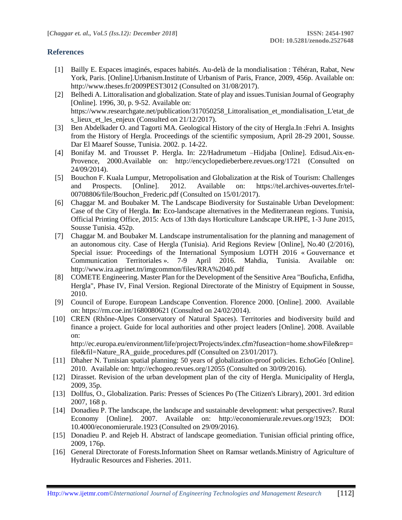#### **References**

- [1] Bailly E. Espaces imaginés, espaces habités. Au-delà de la mondialisation : Téhéran, Rabat, New York, Paris. [Online].Urbanism.Institute of Urbanism of Paris, France, 2009, 456p. Available on: http://www.theses.fr/2009PEST3012 (Consulted on 31/08/2017).
- [2] Belhedi A. Littoralisation and globalization. State of play and issues.Tunisian Journal of Geography [Online]. 1996, 30, p. 9-52. Available on: https://www.researchgate.net/publication/317050258\_Littoralisation\_et\_mondialisation\_L'etat\_de s\_lieux\_et\_les\_enjeux (Consulted on 21/12/2017).
- [3] Ben Abdelkader O. and Tagorti MA. Geological History of the city of Hergla.In :Fehri A. Insights from the History of Hergla. Proceedings of the scientific symposium, April 28-29 2001, Sousse. Dar El Maaref Sousse, Tunisia. 2002. p. 14-22.
- [4] Bonifay M. and Trousset P. Hergla. In: 22/Hadrumetum –Hidjaba [Online]. Edisud.Aix-en-Provence, 2000.Available on: http://encyclopedieberbere.revues.org/1721 (Consulted on 24/09/2014).
- [5] Bouchon F. Kuala Lumpur, Metropolisation and Globalization at the Risk of Tourism: Challenges and Prospects. [Online]. 2012. Available on: https://tel.archives-ouvertes.fr/tel-00708806/file/Bouchon\_Frederic.pdf (Consulted on 15/01/2017).
- [6] Chaggar M. and Boubaker M. The Landscape Biodiversity for Sustainable Urban Development: Case of the City of Hergla. **In**: Eco-landscape alternatives in the Mediterranean regions. Tunisia, Official Printing Office, 2015: Acts of 13th days Horticulture Landscape UR.HPE, 1-3 June 2015, Sousse Tunisia. 452p.
- [7] Chaggar M. and Boubaker M. Landscape instrumentalisation for the planning and management of an autonomous city. Case of Hergla (Tunisia). Arid Regions Review [Online], No.40 (2/2016), Special issue: Proceedings of the International Symposium LOTH 2016 « Gouvernance et Communication Territoriales ». 7-9 April 2016. Mahdia, Tunisia. Available on: http://www.ira.agrinet.tn/imgcommon/files/RRA%2040.pdf
- [8] COMETE Engineering. Master Plan for the Development of the Sensitive Area "Bouficha, Enfidha, Hergla", Phase IV, Final Version. Regional Directorate of the Ministry of Equipment in Sousse, 2010.
- [9] Council of Europe. European Landscape Convention. Florence 2000. [Online]. 2000. Available on: https://rm.coe.int/1680080621 (Consulted on 24/02/2014).
- [10] CREN (Rhône-Alpes Conservatory of Natural Spaces). Territories and biodiversity build and finance a project. Guide for local authorities and other project leaders [Online]. 2008. Available on:

http://ec.europa.eu/environment/life/project/Projects/index.cfm?fuseaction=home.showFile&rep= file&fil=Nature\_RA\_guide\_procedures.pdf (Consulted on 23/01/2017).

- [11] Dhaher N. Tunisian spatial planning: 50 years of globalization-proof policies. EchoGéo [Online]. 2010. Available on: http://echogeo.revues.org/12055 (Consulted on 30/09/2016).
- [12] Dirasset. Revision of the urban development plan of the city of Hergla. Municipality of Hergla, 2009, 35p.
- [13] Dollfus, O., Globalization. Paris: Presses of Sciences Po (The Citizen's Library), 2001. 3rd edition 2007, 168 p.
- [14] Donadieu P. The landscape, the landscape and sustainable development: what perspectives?. Rural Economy [Online]. 2007. Available on: http://economierurale.revues.org/1923; DOI: 10.4000/economierurale.1923 (Consulted on 29/09/2016).
- [15] Donadieu P. and Rejeb H. Abstract of landscape geomediation. Tunisian official printing office, 2009, 176p.
- [16] General Directorate of Forests.Information Sheet on Ramsar wetlands.Ministry of Agriculture of Hydraulic Resources and Fisheries. 2011.